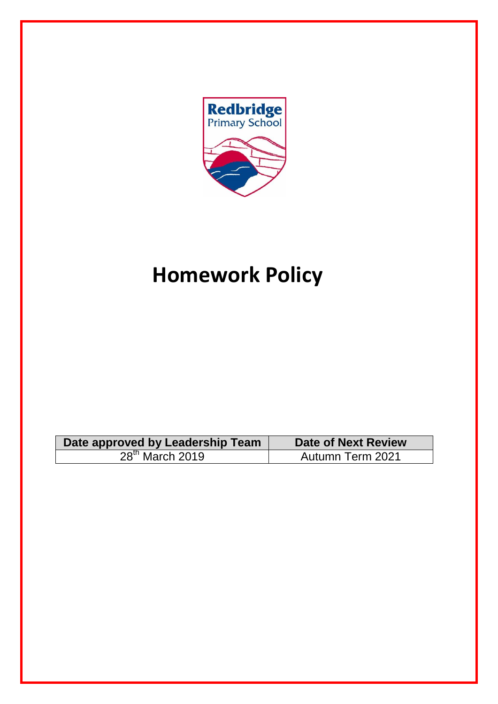

# **Homework Policy**

| Date approved by Leadership Team | Date of Next Review |
|----------------------------------|---------------------|
| $28th$ March 2019                | Autumn Term 2021    |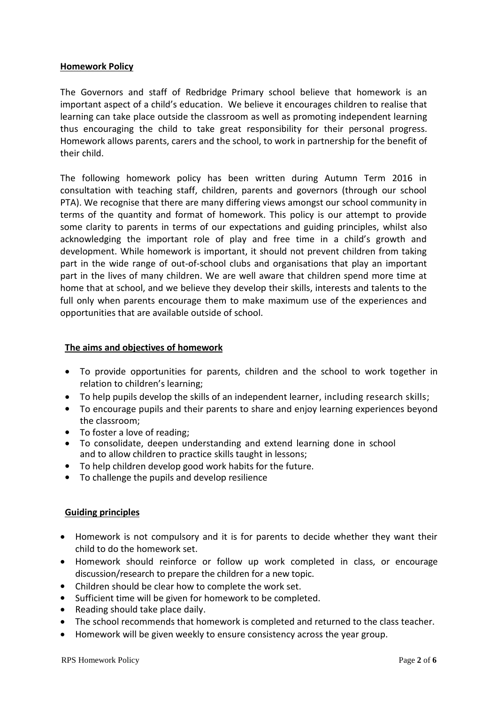#### **Homework Policy**

The Governors and staff of Redbridge Primary school believe that homework is an important aspect of a child's education. We believe it encourages children to realise that learning can take place outside the classroom as well as promoting independent learning thus encouraging the child to take great responsibility for their personal progress. Homework allows parents, carers and the school, to work in partnership for the benefit of their child.

The following homework policy has been written during Autumn Term 2016 in consultation with teaching staff, children, parents and governors (through our school PTA). We recognise that there are many differing views amongst our school community in terms of the quantity and format of homework. This policy is our attempt to provide some clarity to parents in terms of our expectations and guiding principles, whilst also acknowledging the important role of play and free time in a child's growth and development. While homework is important, it should not prevent children from taking part in the wide range of out-of-school clubs and organisations that play an important part in the lives of many children. We are well aware that children spend more time at home that at school, and we believe they develop their skills, interests and talents to the full only when parents encourage them to make maximum use of the experiences and opportunities that are available outside of school.

#### **The aims and objectives of homework**

- To provide opportunities for parents, children and the school to work together in relation to children's learning;
- To help pupils develop the skills of an independent learner, including research skills;
- To encourage pupils and their parents to share and enjoy learning experiences beyond the classroom;
- To foster a love of reading;
- To consolidate, deepen understanding and extend learning done in school and to allow children to practice skills taught in lessons;
- To help children develop good work habits for the future.
- To challenge the pupils and develop resilience

#### **Guiding principles**

- Homework is not compulsory and it is for parents to decide whether they want their child to do the homework set.
- Homework should reinforce or follow up work completed in class, or encourage discussion/research to prepare the children for a new topic.
- Children should be clear how to complete the work set.
- Sufficient time will be given for homework to be completed.
- Reading should take place daily.
- The school recommends that homework is completed and returned to the class teacher.
- Homework will be given weekly to ensure consistency across the year group.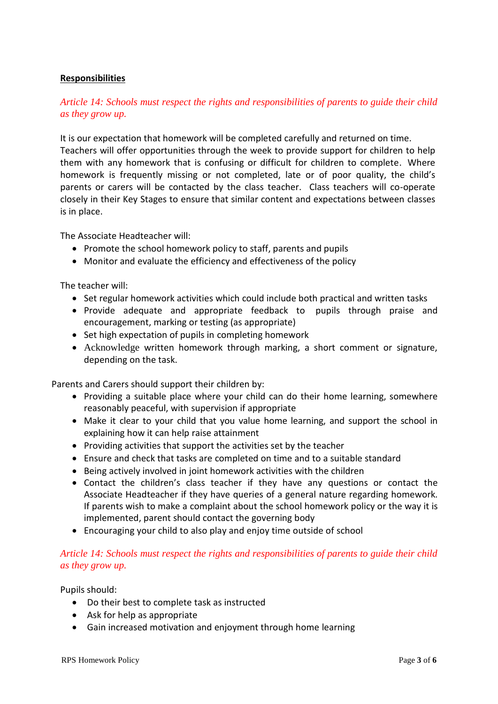### **Responsibilities**

## *Article 14: Schools must respect the rights and responsibilities of parents to guide their child as they grow up.*

It is our expectation that homework will be completed carefully and returned on time. Teachers will offer opportunities through the week to provide support for children to help them with any homework that is confusing or difficult for children to complete. Where homework is frequently missing or not completed, late or of poor quality, the child's parents or carers will be contacted by the class teacher. Class teachers will co-operate closely in their Key Stages to ensure that similar content and expectations between classes is in place.

The Associate Headteacher will:

- Promote the school homework policy to staff, parents and pupils
- Monitor and evaluate the efficiency and effectiveness of the policy

The teacher will:

- Set regular homework activities which could include both practical and written tasks
- Provide adequate and appropriate feedback to pupils through praise and encouragement, marking or testing (as appropriate)
- Set high expectation of pupils in completing homework
- Acknowledge written homework through marking, a short comment or signature, depending on the task.

Parents and Carers should support their children by:

- Providing a suitable place where your child can do their home learning, somewhere reasonably peaceful, with supervision if appropriate
- Make it clear to your child that you value home learning, and support the school in explaining how it can help raise attainment
- Providing activities that support the activities set by the teacher
- Ensure and check that tasks are completed on time and to a suitable standard
- Being actively involved in joint homework activities with the children
- Contact the children's class teacher if they have any questions or contact the Associate Headteacher if they have queries of a general nature regarding homework. If parents wish to make a complaint about the school homework policy or the way it is implemented, parent should contact the governing body
- Encouraging your child to also play and enjoy time outside of school

## *Article 14: Schools must respect the rights and responsibilities of parents to guide their child as they grow up.*

Pupils should:

- Do their best to complete task as instructed
- Ask for help as appropriate
- Gain increased motivation and enjoyment through home learning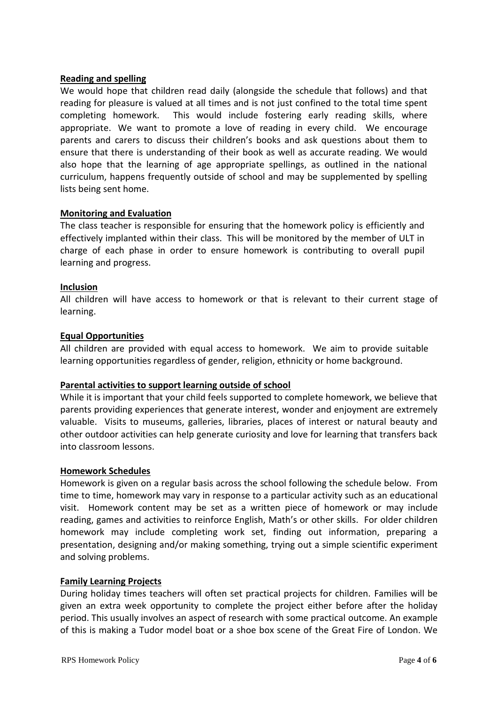#### **Reading and spelling**

We would hope that children read daily (alongside the schedule that follows) and that reading for pleasure is valued at all times and is not just confined to the total time spent completing homework. This would include fostering early reading skills, where appropriate. We want to promote a love of reading in every child. We encourage parents and carers to discuss their children's books and ask questions about them to ensure that there is understanding of their book as well as accurate reading. We would also hope that the learning of age appropriate spellings, as outlined in the national curriculum, happens frequently outside of school and may be supplemented by spelling lists being sent home.

#### **Monitoring and Evaluation**

The class teacher is responsible for ensuring that the homework policy is efficiently and effectively implanted within their class. This will be monitored by the member of ULT in charge of each phase in order to ensure homework is contributing to overall pupil learning and progress.

#### **Inclusion**

All children will have access to homework or that is relevant to their current stage of learning.

#### **Equal Opportunities**

All children are provided with equal access to homework. We aim to provide suitable learning opportunities regardless of gender, religion, ethnicity or home background.

#### **Parental activities to support learning outside of school**

While it is important that your child feels supported to complete homework, we believe that parents providing experiences that generate interest, wonder and enjoyment are extremely valuable. Visits to museums, galleries, libraries, places of interest or natural beauty and other outdoor activities can help generate curiosity and love for learning that transfers back into classroom lessons.

#### **Homework Schedules**

Homework is given on a regular basis across the school following the schedule below. From time to time, homework may vary in response to a particular activity such as an educational visit. Homework content may be set as a written piece of homework or may include reading, games and activities to reinforce English, Math's or other skills. For older children homework may include completing work set, finding out information, preparing a presentation, designing and/or making something, trying out a simple scientific experiment and solving problems.

#### **Family Learning Projects**

During holiday times teachers will often set practical projects for children. Families will be given an extra week opportunity to complete the project either before after the holiday period. This usually involves an aspect of research with some practical outcome. An example of this is making a Tudor model boat or a shoe box scene of the Great Fire of London. We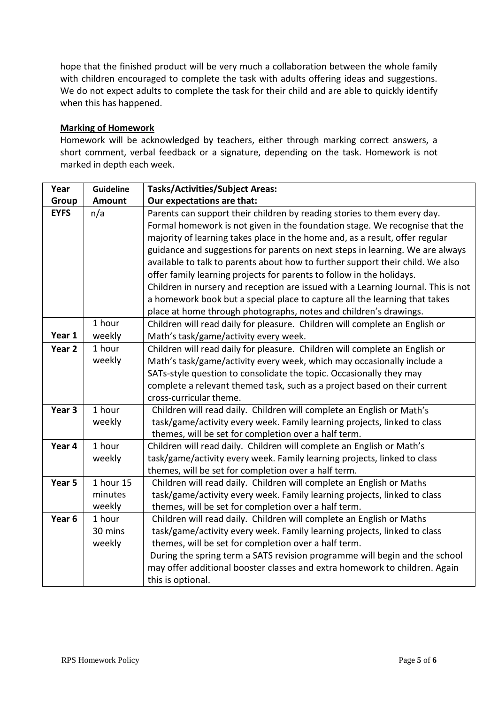hope that the finished product will be very much a collaboration between the whole family with children encouraged to complete the task with adults offering ideas and suggestions. We do not expect adults to complete the task for their child and are able to quickly identify when this has happened.

### **Marking of Homework**

Homework will be acknowledged by teachers, either through marking correct answers, a short comment, verbal feedback or a signature, depending on the task. Homework is not marked in depth each week.

| Year              | <b>Guideline</b> | <b>Tasks/Activities/Subject Areas:</b>                                            |  |
|-------------------|------------------|-----------------------------------------------------------------------------------|--|
| Group             | <b>Amount</b>    | Our expectations are that:                                                        |  |
| <b>EYFS</b>       | n/a              | Parents can support their children by reading stories to them every day.          |  |
|                   |                  | Formal homework is not given in the foundation stage. We recognise that the       |  |
|                   |                  | majority of learning takes place in the home and, as a result, offer regular      |  |
|                   |                  | guidance and suggestions for parents on next steps in learning. We are always     |  |
|                   |                  | available to talk to parents about how to further support their child. We also    |  |
|                   |                  | offer family learning projects for parents to follow in the holidays.             |  |
|                   |                  | Children in nursery and reception are issued with a Learning Journal. This is not |  |
|                   |                  | a homework book but a special place to capture all the learning that takes        |  |
|                   |                  | place at home through photographs, notes and children's drawings.                 |  |
|                   | 1 hour           | Children will read daily for pleasure. Children will complete an English or       |  |
| Year 1            | weekly           | Math's task/game/activity every week.                                             |  |
| Year 2            | 1 hour           | Children will read daily for pleasure. Children will complete an English or       |  |
|                   | weekly           | Math's task/game/activity every week, which may occasionally include a            |  |
|                   |                  | SATs-style question to consolidate the topic. Occasionally they may               |  |
|                   |                  | complete a relevant themed task, such as a project based on their current         |  |
|                   |                  | cross-curricular theme.                                                           |  |
| Year <sub>3</sub> | 1 hour           | Children will read daily. Children will complete an English or Math's             |  |
|                   | weekly           | task/game/activity every week. Family learning projects, linked to class          |  |
|                   |                  | themes, will be set for completion over a half term.                              |  |
| Year 4            | 1 hour           | Children will read daily. Children will complete an English or Math's             |  |
|                   | weekly           | task/game/activity every week. Family learning projects, linked to class          |  |
|                   |                  | themes, will be set for completion over a half term.                              |  |
| Year 5            | 1 hour 15        | Children will read daily. Children will complete an English or Maths              |  |
|                   | minutes          | task/game/activity every week. Family learning projects, linked to class          |  |
|                   | weekly           | themes, will be set for completion over a half term.                              |  |
| Year <sub>6</sub> | 1 hour           | Children will read daily. Children will complete an English or Maths              |  |
|                   | 30 mins          | task/game/activity every week. Family learning projects, linked to class          |  |
|                   | weekly           | themes, will be set for completion over a half term.                              |  |
|                   |                  | During the spring term a SATS revision programme will begin and the school        |  |
|                   |                  | may offer additional booster classes and extra homework to children. Again        |  |
|                   |                  | this is optional.                                                                 |  |